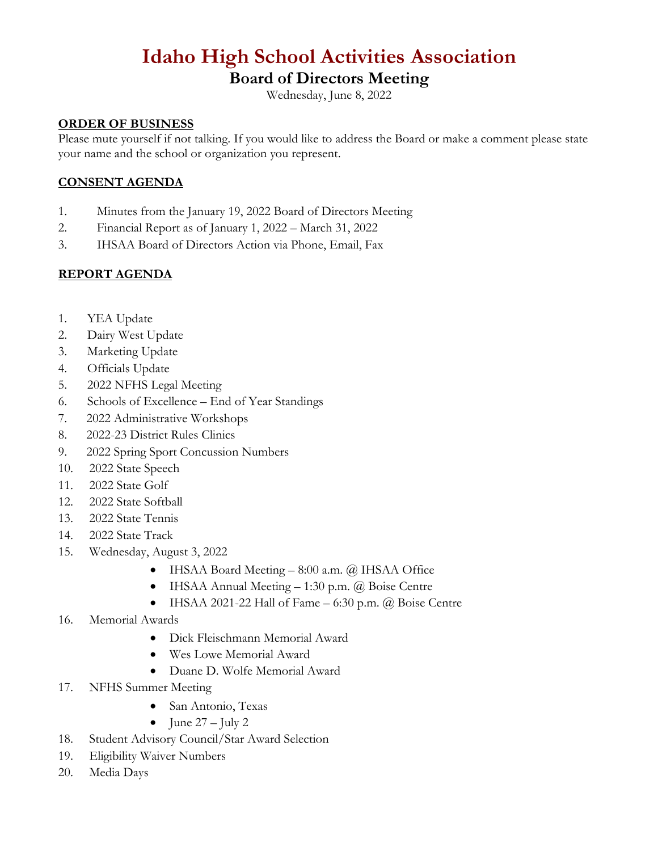# **Idaho High School Activities Association**

## **Board of Directors Meeting**

Wednesday, June 8, 2022

## **ORDER OF BUSINESS**

Please mute yourself if not talking. If you would like to address the Board or make a comment please state your name and the school or organization you represent.

## **CONSENT AGENDA**

- 1. Minutes from the January 19, 2022 Board of Directors Meeting
- 2. Financial Report as of January 1, 2022 March 31, 2022
- 3. IHSAA Board of Directors Action via Phone, Email, Fax

## **REPORT AGENDA**

- 1. YEA Update
- 2. Dairy West Update
- 3. Marketing Update
- 4. Officials Update
- 5. 2022 NFHS Legal Meeting
- 6. Schools of Excellence End of Year Standings
- 7. 2022 Administrative Workshops
- 8. 2022-23 District Rules Clinics
- 9. 2022 Spring Sport Concussion Numbers
- 10. 2022 State Speech
- 11. 2022 State Golf
- 12. 2022 State Softball
- 13. 2022 State Tennis
- 14. 2022 State Track
- 15. Wednesday, August 3, 2022
	- IHSAA Board Meeting 8:00 a.m. @ IHSAA Office
	- IHSAA Annual Meeting 1:30 p.m. @ Boise Centre
	- IHSAA 2021-22 Hall of Fame  $-6:30$  p.m.  $(a)$  Boise Centre
- 16. Memorial Awards
	- Dick Fleischmann Memorial Award
	- Wes Lowe Memorial Award
	- Duane D. Wolfe Memorial Award
- 17. NFHS Summer Meeting
	- San Antonio, Texas
	- June  $27 \text{July } 2$
- 18. Student Advisory Council/Star Award Selection
- 19. Eligibility Waiver Numbers
- 20. Media Days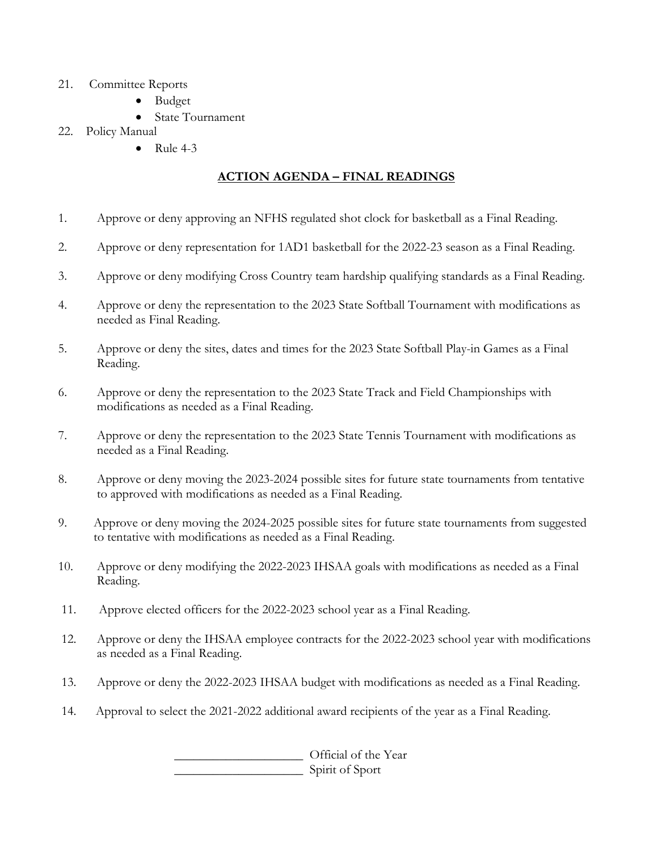- 21. Committee Reports
	- Budget
	- State Tournament
- 22. Policy Manual
	- Rule  $4-3$

## **ACTION AGENDA – FINAL READINGS**

- 1. Approve or deny approving an NFHS regulated shot clock for basketball as a Final Reading.
- 2. Approve or deny representation for 1AD1 basketball for the 2022-23 season as a Final Reading.
- 3. Approve or deny modifying Cross Country team hardship qualifying standards as a Final Reading.
- 4. Approve or deny the representation to the 2023 State Softball Tournament with modifications as needed as Final Reading.
- 5. Approve or deny the sites, dates and times for the 2023 State Softball Play-in Games as a Final Reading.
- 6. Approve or deny the representation to the 2023 State Track and Field Championships with modifications as needed as a Final Reading.
- 7. Approve or deny the representation to the 2023 State Tennis Tournament with modifications as needed as a Final Reading.
- 8. Approve or deny moving the 2023-2024 possible sites for future state tournaments from tentative to approved with modifications as needed as a Final Reading.
- 9. Approve or deny moving the 2024-2025 possible sites for future state tournaments from suggested to tentative with modifications as needed as a Final Reading.
- 10. Approve or deny modifying the 2022-2023 IHSAA goals with modifications as needed as a Final Reading.
- 11. Approve elected officers for the 2022-2023 school year as a Final Reading.
- 12. Approve or deny the IHSAA employee contracts for the 2022-2023 school year with modifications as needed as a Final Reading.
- 13. Approve or deny the 2022-2023 IHSAA budget with modifications as needed as a Final Reading.
- 14. Approval to select the 2021-2022 additional award recipients of the year as a Final Reading.

\_\_\_\_\_\_\_\_\_\_\_\_\_\_\_\_\_\_\_\_ Official of the Year \_\_\_\_\_\_\_\_\_\_\_\_\_\_\_\_\_\_\_\_ Spirit of Sport